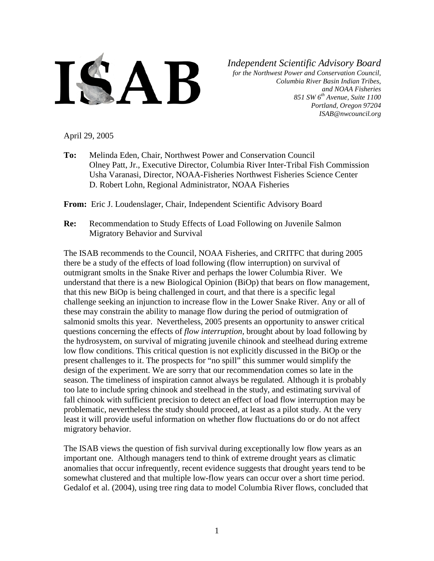

*Independent Scientific Advisory Board*

*for the Northwest Power and Conservation Council, Columbia River Basin Indian Tribes, and NOAA Fisheries 851 SW 6th Avenue, Suite 1100 Portland, Oregon 97204 ISAB@nwcouncil.org*

April 29, 2005

**To:** Melinda Eden, Chair, Northwest Power and Conservation Council Olney Patt, Jr., Executive Director, Columbia River Inter-Tribal Fish Commission Usha Varanasi, Director, NOAA-Fisheries Northwest Fisheries Science Center D. Robert Lohn, Regional Administrator, NOAA Fisheries

**From:** Eric J. Loudenslager, Chair, Independent Scientific Advisory Board

**Re:** Recommendation to Study Effects of Load Following on Juvenile Salmon Migratory Behavior and Survival

The ISAB recommends to the Council, NOAA Fisheries, and CRITFC that during 2005 there be a study of the effects of load following (flow interruption) on survival of outmigrant smolts in the Snake River and perhaps the lower Columbia River. We understand that there is a new Biological Opinion (BiOp) that bears on flow management, that this new BiOp is being challenged in court, and that there is a specific legal challenge seeking an injunction to increase flow in the Lower Snake River. Any or all of these may constrain the ability to manage flow during the period of outmigration of salmonid smolts this year. Nevertheless, 2005 presents an opportunity to answer critical questions concerning the effects of *flow interruption,* brought about by load following by the hydrosystem, on survival of migrating juvenile chinook and steelhead during extreme low flow conditions. This critical question is not explicitly discussed in the BiOp or the present challenges to it. The prospects for "no spill" this summer would simplify the design of the experiment. We are sorry that our recommendation comes so late in the season. The timeliness of inspiration cannot always be regulated. Although it is probably too late to include spring chinook and steelhead in the study, and estimating survival of fall chinook with sufficient precision to detect an effect of load flow interruption may be problematic, nevertheless the study should proceed, at least as a pilot study. At the very least it will provide useful information on whether flow fluctuations do or do not affect migratory behavior.

The ISAB views the question of fish survival during exceptionally low flow years as an important one. Although managers tend to think of extreme drought years as climatic anomalies that occur infrequently, recent evidence suggests that drought years tend to be somewhat clustered and that multiple low-flow years can occur over a short time period. Gedalof et al. (2004), using tree ring data to model Columbia River flows, concluded that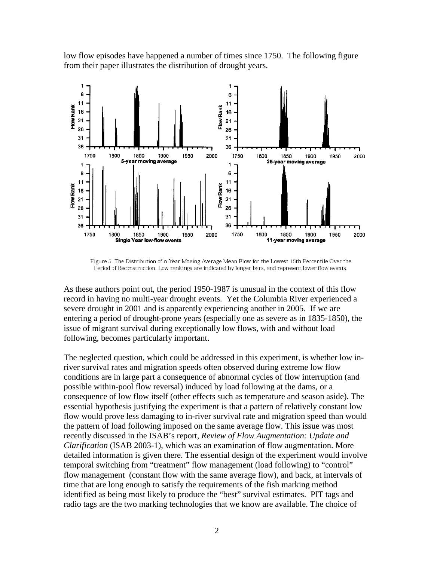low flow episodes have happened a number of times since 1750. The following figure from their paper illustrates the distribution of drought years.



Figure 5. The Distribution of n-Year Moving Average Mean Flow for the Lowest 15th Percentile Over the Period of Reconstruction. Low rankings are indicated by longer bars, and represent lower flow events.

As these authors point out, the period 1950-1987 is unusual in the context of this flow record in having no multi-year drought events. Yet the Columbia River experienced a severe drought in 2001 and is apparently experiencing another in 2005. If we are entering a period of drought-prone years (especially one as severe as in 1835-1850), the issue of migrant survival during exceptionally low flows, with and without load following, becomes particularly important.

The neglected question, which could be addressed in this experiment, is whether low inriver survival rates and migration speeds often observed during extreme low flow conditions are in large part a consequence of abnormal cycles of flow interruption (and possible within-pool flow reversal) induced by load following at the dams, or a consequence of low flow itself (other effects such as temperature and season aside). The essential hypothesis justifying the experiment is that a pattern of relatively constant low flow would prove less damaging to in-river survival rate and migration speed than would the pattern of load following imposed on the same average flow. This issue was most recently discussed in the ISAB's report, *Review of Flow Augmentation: Update and Clarification* (ISAB 2003-1), which was an examination of flow augmentation. More detailed information is given there. The essential design of the experiment would involve temporal switching from "treatment" flow management (load following) to "control" flow management (constant flow with the same average flow), and back, at intervals of time that are long enough to satisfy the requirements of the fish marking method identified as being most likely to produce the "best" survival estimates. PIT tags and radio tags are the two marking technologies that we know are available. The choice of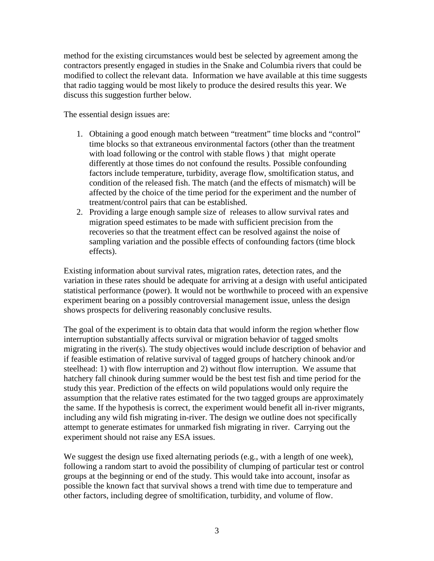method for the existing circumstances would best be selected by agreement among the contractors presently engaged in studies in the Snake and Columbia rivers that could be modified to collect the relevant data. Information we have available at this time suggests that radio tagging would be most likely to produce the desired results this year. We discuss this suggestion further below.

The essential design issues are:

- 1. Obtaining a good enough match between "treatment" time blocks and "control" time blocks so that extraneous environmental factors (other than the treatment with load following or the control with stable flows ) that might operate differently at those times do not confound the results. Possible confounding factors include temperature, turbidity, average flow, smoltification status, and condition of the released fish. The match (and the effects of mismatch) will be affected by the choice of the time period for the experiment and the number of treatment/control pairs that can be established.
- 2. Providing a large enough sample size of releases to allow survival rates and migration speed estimates to be made with sufficient precision from the recoveries so that the treatment effect can be resolved against the noise of sampling variation and the possible effects of confounding factors (time block effects).

Existing information about survival rates, migration rates, detection rates, and the variation in these rates should be adequate for arriving at a design with useful anticipated statistical performance (power). It would not be worthwhile to proceed with an expensive experiment bearing on a possibly controversial management issue, unless the design shows prospects for delivering reasonably conclusive results.

The goal of the experiment is to obtain data that would inform the region whether flow interruption substantially affects survival or migration behavior of tagged smolts migrating in the river(s). The study objectives would include description of behavior and if feasible estimation of relative survival of tagged groups of hatchery chinook and/or steelhead: 1) with flow interruption and 2) without flow interruption. We assume that hatchery fall chinook during summer would be the best test fish and time period for the study this year. Prediction of the effects on wild populations would only require the assumption that the relative rates estimated for the two tagged groups are approximately the same. If the hypothesis is correct, the experiment would benefit all in-river migrants, including any wild fish migrating in-river. The design we outline does not specifically attempt to generate estimates for unmarked fish migrating in river. Carrying out the experiment should not raise any ESA issues.

We suggest the design use fixed alternating periods (e.g., with a length of one week), following a random start to avoid the possibility of clumping of particular test or control groups at the beginning or end of the study. This would take into account, insofar as possible the known fact that survival shows a trend with time due to temperature and other factors, including degree of smoltification, turbidity, and volume of flow.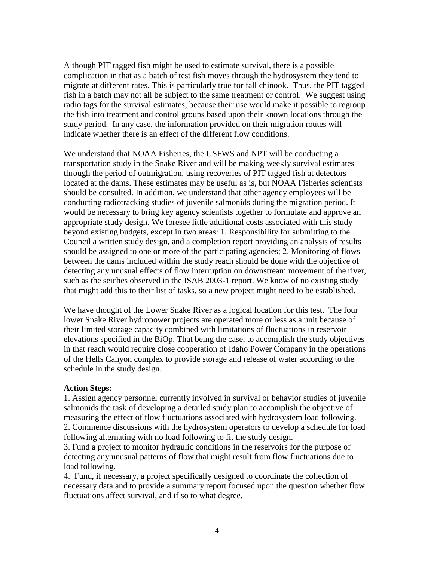Although PIT tagged fish might be used to estimate survival, there is a possible complication in that as a batch of test fish moves through the hydrosystem they tend to migrate at different rates. This is particularly true for fall chinook. Thus, the PIT tagged fish in a batch may not all be subject to the same treatment or control. We suggest using radio tags for the survival estimates, because their use would make it possible to regroup the fish into treatment and control groups based upon their known locations through the study period. In any case, the information provided on their migration routes will indicate whether there is an effect of the different flow conditions.

We understand that NOAA Fisheries, the USFWS and NPT will be conducting a transportation study in the Snake River and will be making weekly survival estimates through the period of outmigration, using recoveries of PIT tagged fish at detectors located at the dams. These estimates may be useful as is, but NOAA Fisheries scientists should be consulted. In addition, we understand that other agency employees will be conducting radiotracking studies of juvenile salmonids during the migration period. It would be necessary to bring key agency scientists together to formulate and approve an appropriate study design. We foresee little additional costs associated with this study beyond existing budgets, except in two areas: 1. Responsibility for submitting to the Council a written study design, and a completion report providing an analysis of results should be assigned to one or more of the participating agencies; 2. Monitoring of flows between the dams included within the study reach should be done with the objective of detecting any unusual effects of flow interruption on downstream movement of the river, such as the seiches observed in the ISAB 2003-1 report. We know of no existing study that might add this to their list of tasks, so a new project might need to be established.

We have thought of the Lower Snake River as a logical location for this test. The four lower Snake River hydropower projects are operated more or less as a unit because of their limited storage capacity combined with limitations of fluctuations in reservoir elevations specified in the BiOp. That being the case, to accomplish the study objectives in that reach would require close cooperation of Idaho Power Company in the operations of the Hells Canyon complex to provide storage and release of water according to the schedule in the study design.

## **Action Steps:**

1. Assign agency personnel currently involved in survival or behavior studies of juvenile salmonids the task of developing a detailed study plan to accomplish the objective of measuring the effect of flow fluctuations associated with hydrosystem load following. 2. Commence discussions with the hydrosystem operators to develop a schedule for load following alternating with no load following to fit the study design.

3. Fund a project to monitor hydraulic conditions in the reservoirs for the purpose of detecting any unusual patterns of flow that might result from flow fluctuations due to load following.

4. Fund, if necessary, a project specifically designed to coordinate the collection of necessary data and to provide a summary report focused upon the question whether flow fluctuations affect survival, and if so to what degree.